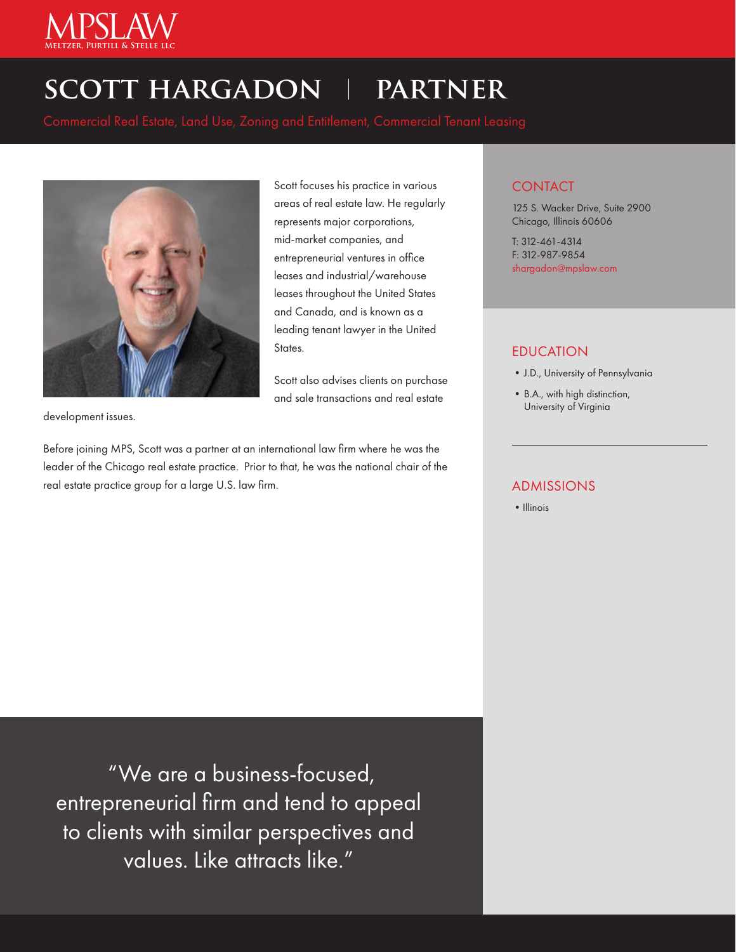

# **sCOTT HARGADON | PARTNER**



Scott focuses his practice in various areas of real estate law. He regularly represents major corporations, mid-market companies, and entrepreneurial ventures in office leases and industrial/warehouse leases throughout the United States and Canada, and is known as a leading tenant lawyer in the United States.

Scott also advises clients on purchase and sale transactions and real estate

development issues.

Before joining MPS, Scott was a partner at an international law firm where he was the leader of the Chicago real estate practice. Prior to that, he was the national chair of the real estate practice group for a large U.S. law firm.

 "We are a business-focused, entrepreneurial firm and tend to appeal to clients with similar perspectives and values. Like attracts like."

## **CONTACT**

125 S. Wacker Drive, Suite 2900 Chicago, Illinois 60606

T: 312-461-4314 F: 312-987-9854 shargadon@mpslaw.com

### EDUCATION

- •J.D., University of Pennsylvania
- •B.A., with high distinction, University of Virginia

### ADMISSIONS

• Illinois